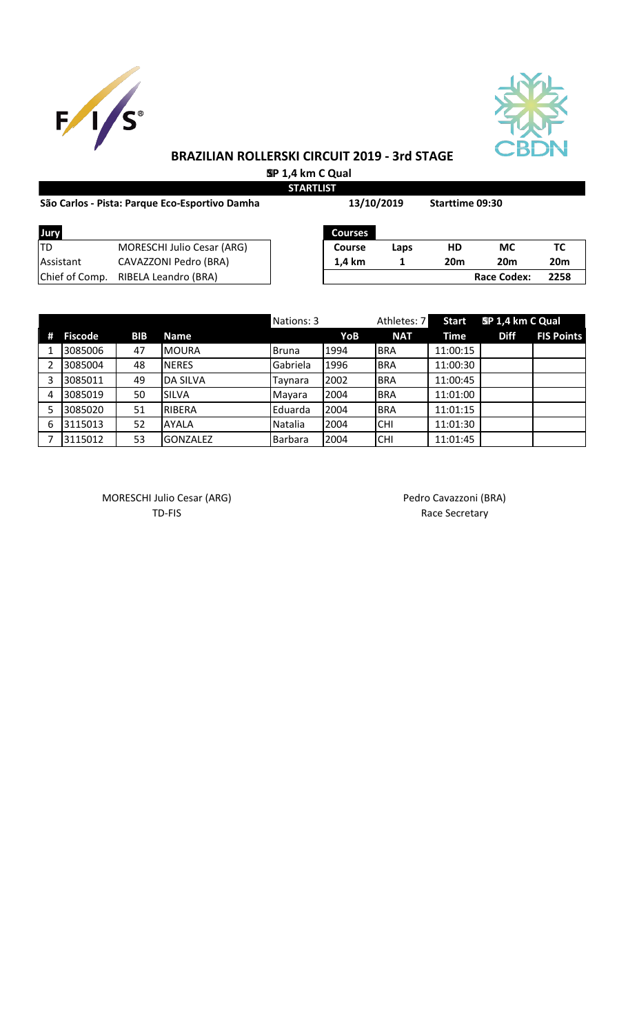



# **BRAZILIAN ROLLERSKI CIRCUIT 2019 - 3rd STAGE SP 1,4 km C Qual**

**STARTLIST**

| São Carlos - Pista: Parque Eco-Esportivo Damha |                                   | 13/10/2019     |      | <b>Starttime 09:30</b> |                    |                 |
|------------------------------------------------|-----------------------------------|----------------|------|------------------------|--------------------|-----------------|
| Jury                                           |                                   | <b>Courses</b> |      |                        |                    |                 |
| ltd                                            | <b>MORESCHI Julio Cesar (ARG)</b> | Course         | Laps | HD                     | <b>MC</b>          | TC              |
| <b>Assistant</b>                               | CAVAZZONI Pedro (BRA)             | 1.4 km         |      | 20 <sub>m</sub>        | <b>20m</b>         | 20 <sub>m</sub> |
| Chief of Comp.                                 | RIBELA Leandro (BRA)              |                |      |                        | <b>Race Codex:</b> | 2258            |

|   |                |            |                 | Nations: 3     |      | Athletes: 7 | <b>Start</b> | SP 1,4 km C Qual |                   |
|---|----------------|------------|-----------------|----------------|------|-------------|--------------|------------------|-------------------|
| Ħ | <b>Fiscode</b> | <b>BIB</b> | <b>Name</b>     |                | YoB  | <b>NAT</b>  | Time         | <b>Diff</b>      | <b>FIS Points</b> |
|   | 3085006        | 47         | MOURA           | Bruna          | 1994 | <b>BRA</b>  | 11:00:15     |                  |                   |
|   | 3085004        | 48         | <b>INERES</b>   | Gabriela       | 1996 | IBRA        | 11:00:30     |                  |                   |
| 3 | 3085011        | 49         | <b>DA SILVA</b> | Tavnara        | 2002 | <b>BRA</b>  | 11:00:45     |                  |                   |
| 4 | 3085019        | 50         | <b>SILVA</b>    | Mayara         | 2004 | <b>BRA</b>  | 11:01:00     |                  |                   |
|   | 3085020        | 51         | RIBERA          | Eduarda        | 2004 | <b>BRA</b>  | 11:01:15     |                  |                   |
| 6 | 3115013        | 52         | <b>AYALA</b>    | Natalia        | 2004 | <b>CHI</b>  | 11:01:30     |                  |                   |
|   | 3115012        | 53         | <b>GONZALEZ</b> | <b>Barbara</b> | 2004 | ICHI        | 11:01:45     |                  |                   |

MORESCHI Julio Cesar (ARG) MORESCHI Julio Cesar (ARG)

TD-FIS Race Secretary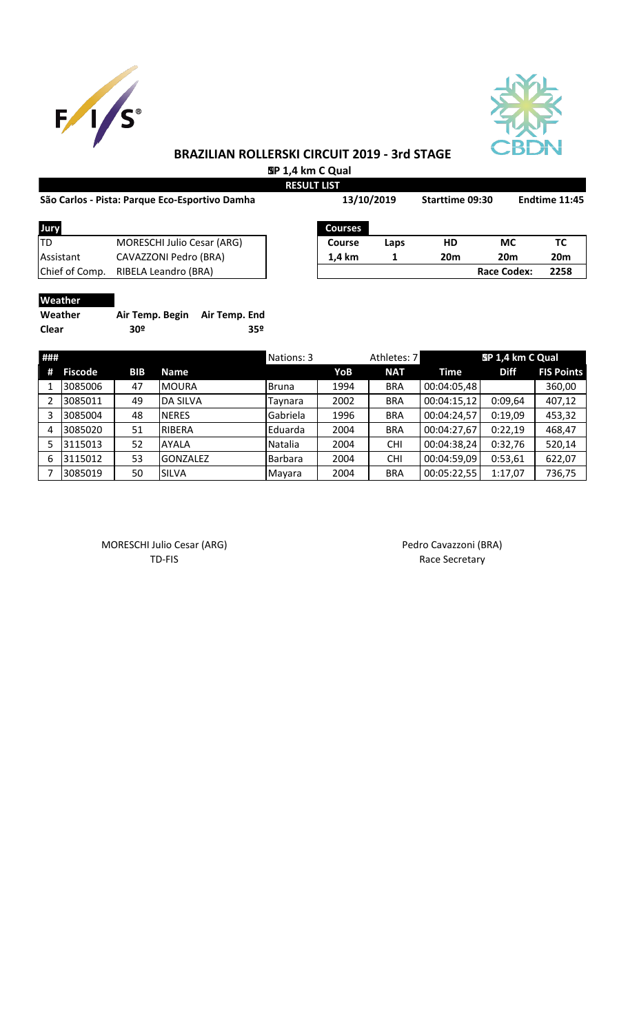



# **BRAZILIAN ROLLERSKI CIRCUIT 2019 - 3rd STAGE**

 **SP 1,4 km C Qual**

|                                                |                            | <b>RESULT LIST</b> |                |      |                 |                    |                 |  |
|------------------------------------------------|----------------------------|--------------------|----------------|------|-----------------|--------------------|-----------------|--|
| São Carlos - Pista: Parque Eco-Esportivo Damha |                            |                    | 13/10/2019     |      | Starttime 09:30 |                    | Endtime 11:45   |  |
| Jury                                           |                            |                    | <b>Courses</b> |      |                 |                    |                 |  |
| ltd                                            | MORESCHI Julio Cesar (ARG) |                    | Course         | Laps | HD              | МC                 | ТC              |  |
| Assistant                                      | CAVAZZONI Pedro (BRA)      |                    | 1,4 km         |      | 20 <sub>m</sub> | 20 <sub>m</sub>    | 20 <sub>m</sub> |  |
| Chief of Comp.                                 | RIBELA Leandro (BRA)       |                    |                |      |                 | <b>Race Codex:</b> | 2258            |  |
|                                                |                            |                    |                |      |                 |                    |                 |  |

### **Weather**

| Weather | Air Temp. Begin Air Temp. End |     |
|---------|-------------------------------|-----|
| Clear   | 30º                           | 35º |

| ### |                |            |                 | Nations: 3     |      | Athletes: 7 |             | SP 1,4 km C Qual |                   |
|-----|----------------|------------|-----------------|----------------|------|-------------|-------------|------------------|-------------------|
| #   | <b>Fiscode</b> | <b>BIB</b> | <b>Name</b>     |                | YoB  | <b>NAT</b>  | <b>Time</b> | <b>Diff</b>      | <b>FIS Points</b> |
|     | 3085006        | 47         | <b>MOURA</b>    | <b>Bruna</b>   | 1994 | <b>BRA</b>  | 00:04:05,48 |                  | 360,00            |
|     | 3085011        | 49         | <b>DA SILVA</b> | Tavnara        | 2002 | <b>BRA</b>  | 00:04:15,12 | 0:09,64          | 407,12            |
| 3   | 3085004        | 48         | <b>NERES</b>    | Gabriela       | 1996 | <b>BRA</b>  | 00:04:24,57 | 0:19,09          | 453,32            |
| 4   | 3085020        | 51         | RIBERA          | <b>Eduarda</b> | 2004 | <b>BRA</b>  | 00:04:27,67 | 0:22,19          | 468,47            |
|     | 3115013        | 52         | <b>AYALA</b>    | <b>Natalia</b> | 2004 | <b>CHI</b>  | 00:04:38,24 | 0:32,76          | 520,14            |
| 6   | 3115012        | 53         | <b>GONZALEZ</b> | Barbara        | 2004 | <b>CHI</b>  | 00:04:59,09 | 0:53,61          | 622,07            |
|     | 3085019        | 50         | <b>SILVA</b>    | Mayara         | 2004 | <b>BRA</b>  | 00:05:22,55 | 1:17,07          | 736,75            |

MORESCHI Julio Cesar (ARG) <br>TD-FIS Race Secretary

Race Secretary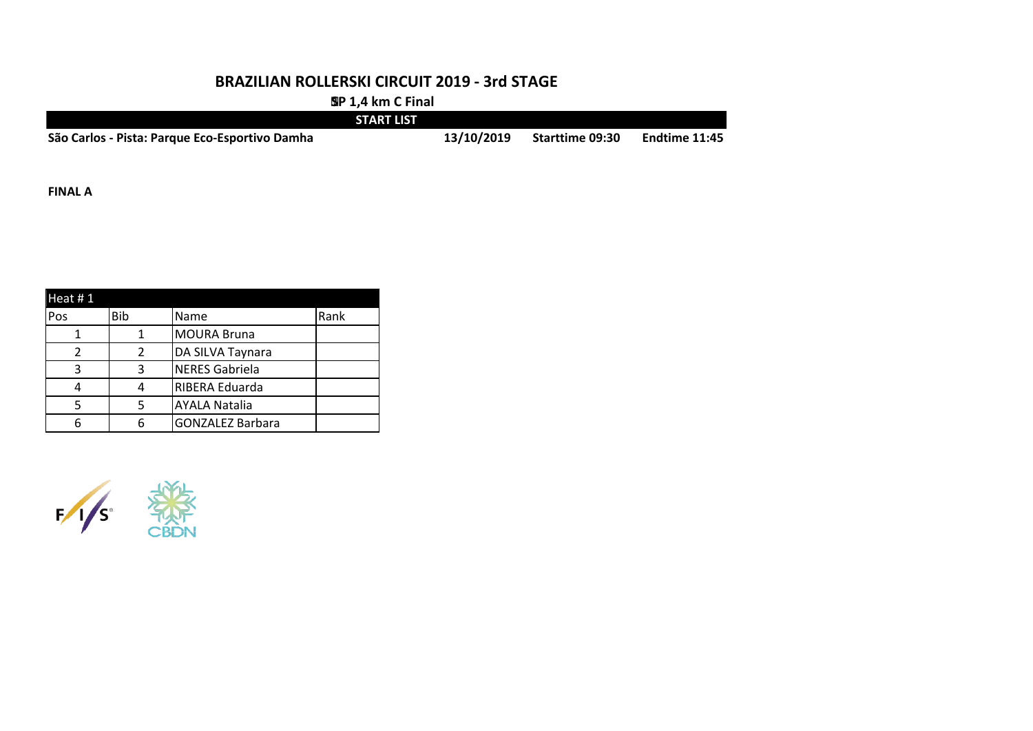#### **BRAZILIAN ROLLERSKI CIRCUIT 2019 - 3rd STAGE**

 **SP 1,4 km C Final**

|                                                | <b>START LIST</b> |                        |               |
|------------------------------------------------|-------------------|------------------------|---------------|
| São Carlos - Pista: Parque Eco-Esportivo Damha | 13/10/2019        | <b>Starttime 09:30</b> | Endtime 11:45 |

**FINAL A**

| Heat $# 1$ |     |                         |      |
|------------|-----|-------------------------|------|
| Pos        | Bib | Name                    | Rank |
|            |     | <b>MOURA Bruna</b>      |      |
|            |     | DA SILVA Taynara        |      |
| 3          | 3   | <b>NERES Gabriela</b>   |      |
|            |     | RIBERA Eduarda          |      |
|            |     | <b>AYALA Natalia</b>    |      |
|            |     | <b>GONZALEZ Barbara</b> |      |

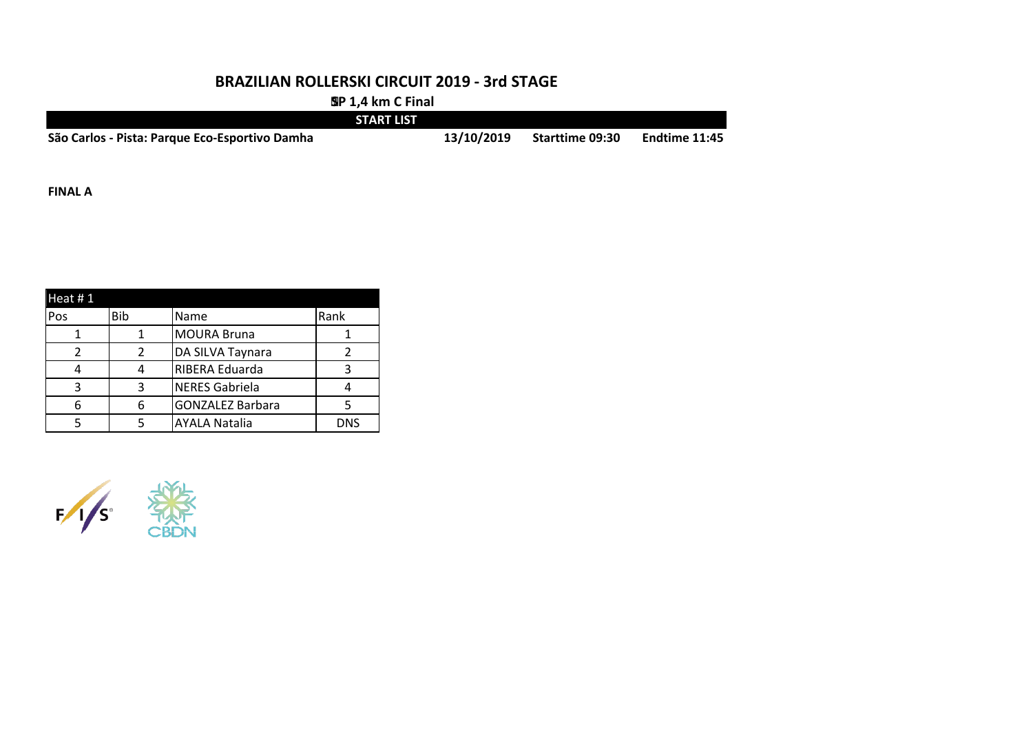#### **BRAZILIAN ROLLERSKI CIRCUIT 2019 - 3rd STAGE**

 **SP 1,4 km C Final**

|                                                | <b>START LIST</b> |            |                        |                      |
|------------------------------------------------|-------------------|------------|------------------------|----------------------|
| São Carlos - Pista: Parque Eco-Esportivo Damha |                   | 13/10/2019 | <b>Starttime 09:30</b> | <b>Endtime 11:45</b> |

**FINAL A**

| Heat $# 1$ |     |                         |      |
|------------|-----|-------------------------|------|
| Pos        | Bib | Name                    | Rank |
|            |     | <b>MOURA Bruna</b>      |      |
|            |     | DA SILVA Taynara        |      |
|            |     | RIBERA Eduarda          |      |
| ર          | ₹   | <b>NERES Gabriela</b>   |      |
|            |     | <b>GONZALEZ Barbara</b> |      |
|            |     | <b>AYALA Natalia</b>    | DNS  |